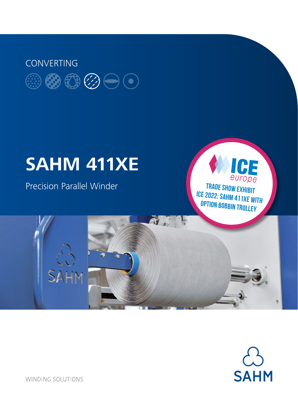# **CONVERTING**

# **SAHM 411XE**

Precision Parallel Winder

SAHM

europe **Trade show exhibit ICE 2022: SAHM 411XE with option bobbin trolley**

a Mari

ICE